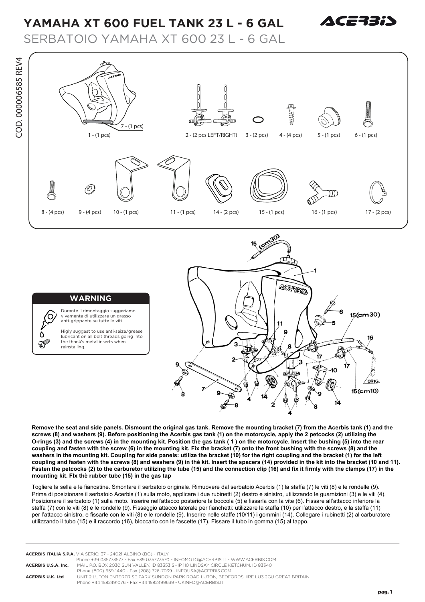## **YAMAHA XT 600 FUEL TANK 23 L - 6 GAL**



SERBATOIO YAMAHA XT 600 23 L - 6 GAL





## **WARNING**

 $\mathbb{C}$ 

COD. 000006585 REV4

COD. 000006585 REV4

Durante il rimontaggio suggeriamo vivamente di utilizzare un grasso anti-grippante su tutte le viti.

Higly suggest to use anti-seize/grease lubricant on all bolt threads going into the thank's metal inserts when reinstalling.

**Remove the seat and side panels. Dismount the original gas tank. Remove the mounting bracket (7) from the Acerbis tank (1) and the screws (8) and washers (9). Before positioning the Acerbis gas tank (1) on the motorcycle, apply the 2 petcocks (2) utilizing the O-rings (3) and the screws (4) in the mounting kit. Position the gas tank ( 1 ) on the motorcycle. Insert the bushing (5) into the rear coupling and fasten with the screw (6) in the mounting kit. Fix the bracket (7) onto the front bushing with the screws (8) and the washers in the mounting kit. Coupling for side panels: utilize the bracket (10) for the right coupling and the bracket (1) for the left coupling and fasten with the screws (8) and washers (9) in thè kit. lnsert the spacers (14) provided in the kit into the bracket (10 and 11). Fasten the petcocks (2) to the carburetor utilizing the tube (15) and the connection clip (16) and fix it firmly with the clamps (17) in the mounting kit. Flx thè rubber tube (15) in the gas tap** 

Togliere la sella e le fiancatine. Smontare il serbatoio originale. Rimuovere dal serbatoio Acerbis (1) la staffa (7) le viti (8) e le rondelle (9).  Prima di posizionare il serbatoio Acerbis (1) sulla moto, applicare i due rubinetti (2) destro e sinistro, utilizzando le guarnizioni (3) e le viti (4). Posizionare il serbatoio (1) sulla moto. Inserire nell'attacco posteriore la boccola (5) e fissarla con la vite (6). Fissare all'attacco inferiore la staffa (7) con le viti (8) e le rondelle (9). Fissaggio attacco laterale per fianchetti: utilizzare la staffa (10) per l'attacco destro, e la staffa (11) per l'attacco sinistro, e fissarle con le viti (8) e le rondelle (9). Inserire nelle staffe (10/11) i gommini (14). Collegare i rubinetti (2) al carburatore utilizzando il tubo (15) e il raccordo (16), bloccarlo con le fascette (17). Fissare il tubo in gomma (15) al tappo.

**ACERBIS ITALIA S.P.A.** VIA SERIO, 37 - 24021 ALBINO (BG) - ITALY Phone +39 035773577 - Fax +39 035773570 - INFOMOTO@ACERBIS.IT - WWW.ACERBIS.COM **ACERBIS U.S.A. Inc.** MAIL P.O. BOX 2030 SUN VALLEY, ID 83353 SHIP 110 LINDSAY CIRCLE KETCHUM, ID 83340 Phone (800) 659-1440 - Fax (208) 726-7039 - INFOUSA@ACERBIS.COM **ACERBIS U.K. Ltd** UNIT 2 LUTON ENTERPRISE PARK SUNDON PARK ROAD LUTON, BEDFORDSHIRE LU3 3GU GREAT BRITAIN Phone +44 1582491076 - Fax +44 1582499639 - UKINFO@ACERBIS.IT